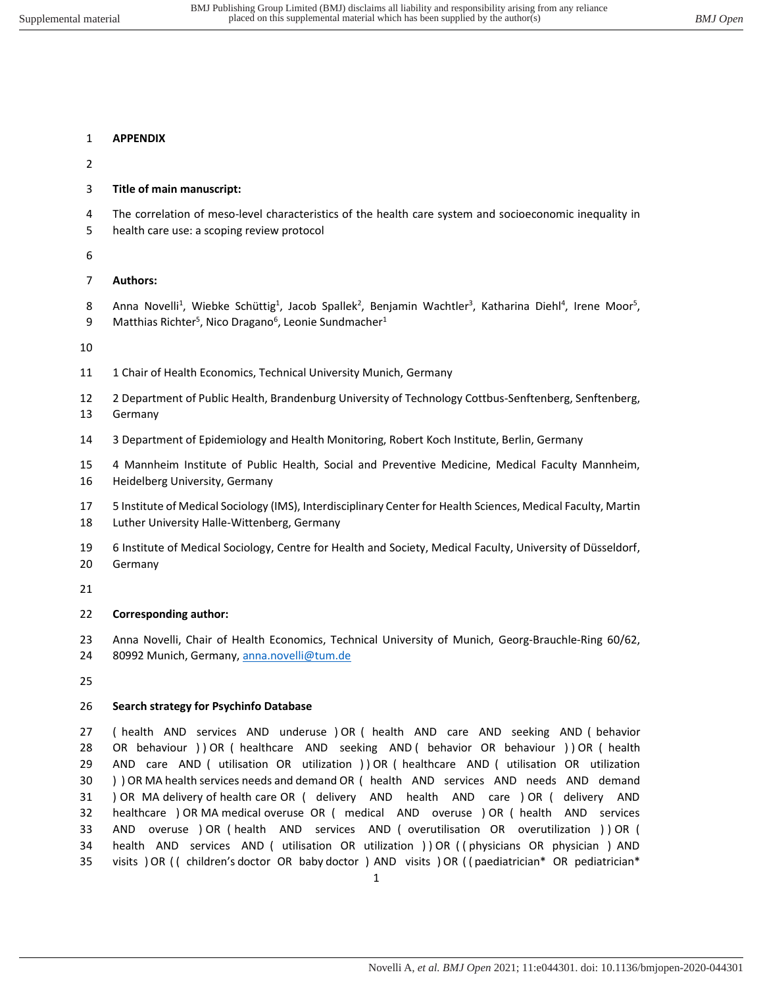# **APPENDIX**

### **Title of main manuscript:**

- 4 The correlation of meso-level characteristics of the health care system and socioeconomic inequality in
- 5 health care use: a scoping review protocol

### **Authors:**

8 Anna Novelli<sup>1</sup>, Wiebke Schüttig<sup>1</sup>, Jacob Spallek<sup>2</sup>, Benjamin Wachtler<sup>3</sup>, Katharina Diehl<sup>4</sup>, Irene Moor<sup>5</sup>, 9 Matthias Richter<sup>5</sup>, Nico Dragano<sup>6</sup>, Leonie Sundmacher<sup>1</sup>

- 11 1 Chair of Health Economics, Technical University Munich, Germany
- 2 Department of Public Health, Brandenburg University of Technology Cottbus-Senftenberg, Senftenberg, Germany
- 3 Department of Epidemiology and Health Monitoring, Robert Koch Institute, Berlin, Germany
- 4 Mannheim Institute of Public Health, Social and Preventive Medicine, Medical Faculty Mannheim, Heidelberg University, Germany
- 5 Institute of Medical Sociology (IMS), Interdisciplinary Center for Health Sciences, Medical Faculty, Martin Luther University Halle-Wittenberg, Germany
- 6 Institute of Medical Sociology, Centre for Health and Society, Medical Faculty, University of Düsseldorf, Germany

#### **Corresponding author:**

 Anna Novelli, Chair of Health Economics, Technical University of Munich, Georg-Brauchle-Ring 60/62, 24 80992 Munich, Germany, [anna.novelli@tum.de](mailto:novelli@bwl.lmu.de)

#### **Search strategy for Psychinfo Database**

 ( health AND services AND underuse ) OR ( health AND care AND seeking AND ( behavior 28 OR behaviour ) ) OR ( healthcare AND seeking AND ( behavior OR behaviour ) ) OR ( health AND care AND ( utilisation OR utilization ) ) OR ( healthcare AND ( utilisation OR utilization ) ) OR MA health services needs and demand OR ( health AND services AND needs AND demand ) OR MA delivery of health care OR ( delivery AND health AND care ) OR ( delivery AND healthcare ) OR MA medical overuse OR ( medical AND overuse ) OR ( health AND services AND overuse ) OR ( health AND services AND ( overutilisation OR overutilization ) ) OR ( health AND services AND ( utilisation OR utilization ) ) OR ( ( physicians OR physician ) AND 35 visits ) OR (( children's doctor OR baby doctor ) AND visits ) OR (( paediatrician\* OR pediatrician\*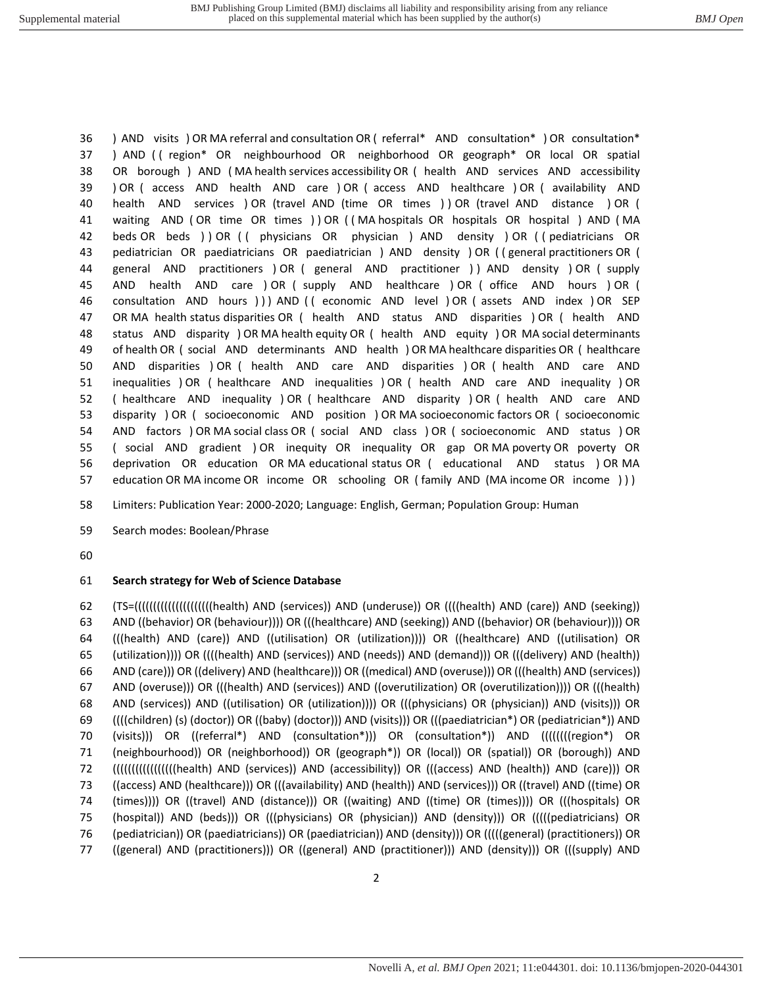) AND visits ) OR MA referral and consultation OR ( referral\* AND consultation\* ) OR consultation\* ) AND ( ( region\* OR neighbourhood OR neighborhood OR geograph\* OR local OR spatial OR borough ) AND ( MA health services accessibility OR ( health AND services AND accessibility ) OR ( access AND health AND care ) OR ( access AND healthcare ) OR ( availability AND health AND services ) OR (travel AND (time OR times ) ) OR (travel AND distance ) OR ( waiting AND ( OR time OR times ) ) OR ( ( MA hospitals OR hospitals OR hospital ) AND ( MA beds OR beds ) ) OR ( ( physicians OR physician ) AND density ) OR ( ( pediatricians OR pediatrician OR paediatricians OR paediatrician ) AND density ) OR ( ( general practitioners OR ( general AND practitioners ) OR ( general AND practitioner ) ) AND density ) OR ( supply AND health AND care ) OR ( supply AND healthcare ) OR ( office AND hours ) OR ( consultation AND hours ) ) ) AND ( ( economic AND level ) OR ( assets AND index ) OR SEP OR MA health status disparities OR ( health AND status AND disparities ) OR ( health AND status AND disparity ) OR MA health equity OR ( health AND equity ) OR MA social determinants of health OR ( social AND determinants AND health ) OR MA healthcare disparities OR ( healthcare AND disparities ) OR ( health AND care AND disparities ) OR ( health AND care AND inequalities ) OR ( healthcare AND inequalities ) OR ( health AND care AND inequality ) OR ( healthcare AND inequality ) OR ( healthcare AND disparity ) OR ( health AND care AND disparity ) OR ( socioeconomic AND position ) OR MA socioeconomic factors OR ( socioeconomic AND factors ) OR MA social class OR ( social AND class ) OR ( socioeconomic AND status ) OR ( social AND gradient ) OR inequity OR inequality OR gap OR MA poverty OR poverty OR deprivation OR education OR MA educational status OR ( educational AND status ) OR MA education OR MA income OR income OR schooling OR ( family AND (MA income OR income ) ) )

Limiters: Publication Year: 2000-2020; Language: English, German; Population Group: Human

Search modes: Boolean/Phrase

#### **Search strategy for Web of Science Database**

 (TS=(((((((((((((((((((((health) AND (services)) AND (underuse)) OR ((((health) AND (care)) AND (seeking)) AND ((behavior) OR (behaviour)))) OR (((healthcare) AND (seeking)) AND ((behavior) OR (behaviour)))) OR (((health) AND (care)) AND ((utilisation) OR (utilization)))) OR ((healthcare) AND ((utilisation) OR (utilization)))) OR ((((health) AND (services)) AND (needs)) AND (demand))) OR (((delivery) AND (health)) AND (care))) OR ((delivery) AND (healthcare))) OR ((medical) AND (overuse))) OR (((health) AND (services)) AND (overuse))) OR (((health) AND (services)) AND ((overutilization) OR (overutilization)))) OR (((health) AND (services)) AND ((utilisation) OR (utilization)))) OR (((physicians) OR (physician)) AND (visits))) OR ((((children) (s) (doctor)) OR ((baby) (doctor))) AND (visits))) OR (((paediatrician\*) OR (pediatrician\*)) AND (visits))) OR ((referral\*) AND (consultation\*))) OR (consultation\*)) AND ((((((((region\*) OR (neighbourhood)) OR (neighborhood)) OR (geograph\*)) OR (local)) OR (spatial)) OR (borough)) AND (((((((((((((((((health) AND (services)) AND (accessibility)) OR (((access) AND (health)) AND (care))) OR ((access) AND (healthcare))) OR (((availability) AND (health)) AND (services))) OR ((travel) AND ((time) OR (times)))) OR ((travel) AND (distance))) OR ((waiting) AND ((time) OR (times)))) OR (((hospitals) OR (hospital)) AND (beds))) OR (((physicians) OR (physician)) AND (density))) OR (((((pediatricians) OR (pediatrician)) OR (paediatricians)) OR (paediatrician)) AND (density))) OR (((((general) (practitioners)) OR ((general) AND (practitioners))) OR ((general) AND (practitioner))) AND (density))) OR (((supply) AND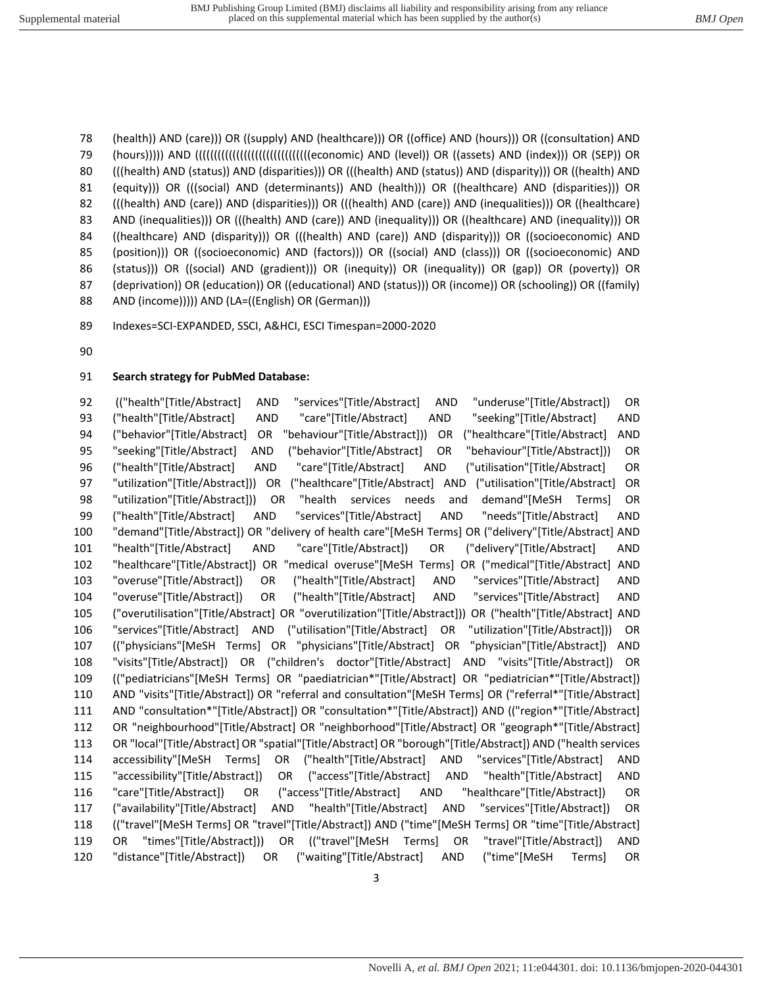(health)) AND (care))) OR ((supply) AND (healthcare))) OR ((office) AND (hours))) OR ((consultation) AND (hours))))) AND (((((((((((((((((((((((((((((((economic) AND (level)) OR ((assets) AND (index))) OR (SEP)) OR (((health) AND (status)) AND (disparities))) OR (((health) AND (status)) AND (disparity))) OR ((health) AND 81 (equity))) OR (((social) AND (determinants)) AND (health))) OR ((healthcare) AND (disparities))) OR (((health) AND (care)) AND (disparities))) OR (((health) AND (care)) AND (inequalities))) OR ((healthcare) 83 AND (inequalities))) OR (((health) AND (care)) AND (inequality))) OR ((healthcare) AND (inequality))) OR ((healthcare) AND (disparity))) OR (((health) AND (care)) AND (disparity))) OR ((socioeconomic) AND (position))) OR ((socioeconomic) AND (factors))) OR ((social) AND (class))) OR ((socioeconomic) AND (status))) OR ((social) AND (gradient))) OR (inequity)) OR (inequality)) OR (gap)) OR (poverty)) OR (deprivation)) OR (education)) OR ((educational) AND (status))) OR (income)) OR (schooling)) OR ((family) AND (income))))) AND (LA=((English) OR (German)))

Indexes=SCI-EXPANDED, SSCI, A&HCI, ESCI Timespan=2000-2020

# **Search strategy for PubMed Database:**

92 (("health"[Title/Abstract] AND "services"[Title/Abstract] AND "underuse"[Title/Abstract]) OR ("health"[Title/Abstract] AND "care"[Title/Abstract] AND "seeking"[Title/Abstract] AND ("behavior"[Title/Abstract] OR "behaviour"[Title/Abstract])) OR ("healthcare"[Title/Abstract] AND "seeking"[Title/Abstract] AND ("behavior"[Title/Abstract] OR "behaviour"[Title/Abstract])) OR ("health"[Title/Abstract] AND "care"[Title/Abstract] AND ("utilisation"[Title/Abstract] OR "utilization"[Title/Abstract])) OR ("healthcare"[Title/Abstract] AND ("utilisation"[Title/Abstract] OR "utilization"[Title/Abstract])) OR "health services needs and demand"[MeSH Terms] OR ("health"[Title/Abstract] AND "services"[Title/Abstract] AND "needs"[Title/Abstract] AND "demand"[Title/Abstract]) OR "delivery of health care"[MeSH Terms] OR ("delivery"[Title/Abstract] AND "health"[Title/Abstract] AND "care"[Title/Abstract]) OR ("delivery"[Title/Abstract] AND "healthcare"[Title/Abstract]) OR "medical overuse"[MeSH Terms] OR ("medical"[Title/Abstract] AND "overuse"[Title/Abstract]) OR ("health"[Title/Abstract] AND "services"[Title/Abstract] AND "overuse"[Title/Abstract]) OR ("health"[Title/Abstract] AND "services"[Title/Abstract] AND ("overutilisation"[Title/Abstract] OR "overutilization"[Title/Abstract])) OR ("health"[Title/Abstract] AND "services"[Title/Abstract] AND ("utilisation"[Title/Abstract] OR "utilization"[Title/Abstract])) OR (("physicians"[MeSH Terms] OR "physicians"[Title/Abstract] OR "physician"[Title/Abstract]) AND "visits"[Title/Abstract]) OR ("children's doctor"[Title/Abstract] AND "visits"[Title/Abstract]) OR (("pediatricians"[MeSH Terms] OR "paediatrician\*"[Title/Abstract] OR "pediatrician\*"[Title/Abstract]) AND "visits"[Title/Abstract]) OR "referral and consultation"[MeSH Terms] OR ("referral\*"[Title/Abstract] AND "consultation\*"[Title/Abstract]) OR "consultation\*"[Title/Abstract]) AND (("region\*"[Title/Abstract] OR "neighbourhood"[Title/Abstract] OR "neighborhood"[Title/Abstract] OR "geograph\*"[Title/Abstract] OR "local"[Title/Abstract] OR "spatial"[Title/Abstract] OR "borough"[Title/Abstract]) AND ("health services accessibility"[MeSH Terms] OR ("health"[Title/Abstract] AND "services"[Title/Abstract] AND "accessibility"[Title/Abstract]) OR ("access"[Title/Abstract] AND "health"[Title/Abstract] AND "care"[Title/Abstract]) OR ("access"[Title/Abstract] AND "healthcare"[Title/Abstract]) OR ("availability"[Title/Abstract] AND "health"[Title/Abstract] AND "services"[Title/Abstract]) OR (("travel"[MeSH Terms] OR "travel"[Title/Abstract]) AND ("time"[MeSH Terms] OR "time"[Title/Abstract] OR "times"[Title/Abstract])) OR (("travel"[MeSH Terms] OR "travel"[Title/Abstract]) AND "distance"[Title/Abstract]) OR ("waiting"[Title/Abstract] AND ("time"[MeSH Terms] OR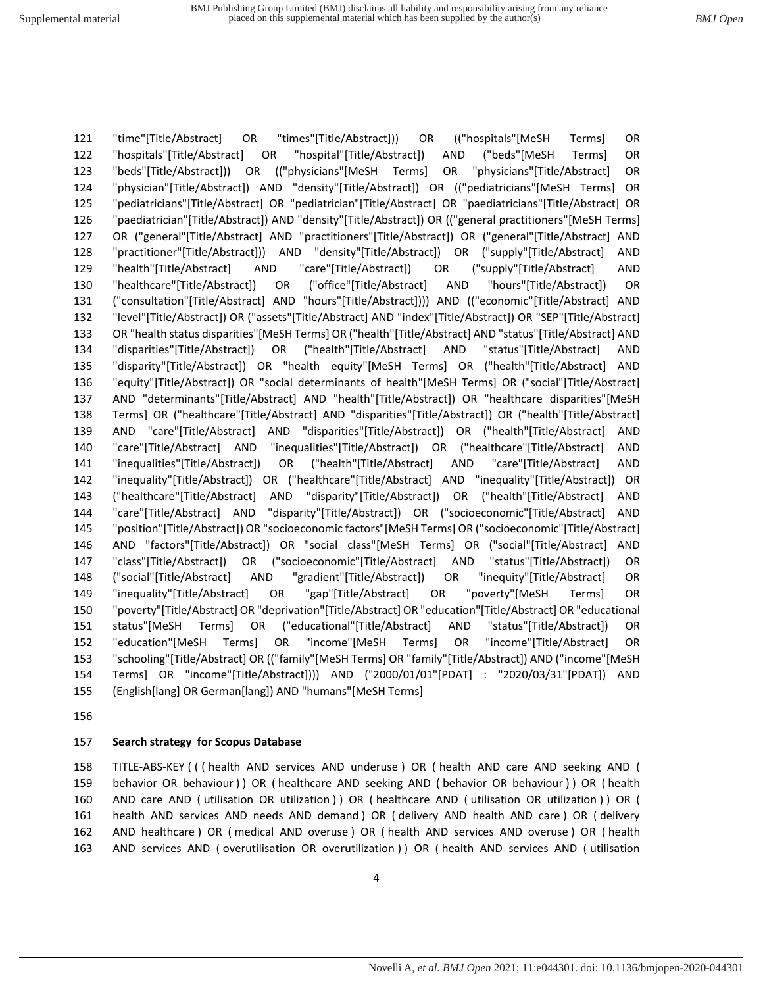"time"[Title/Abstract] OR "times"[Title/Abstract])) OR (("hospitals"[MeSH Terms] OR "hospitals"[Title/Abstract] OR "hospital"[Title/Abstract]) AND ("beds"[MeSH Terms] OR "beds"[Title/Abstract])) OR (("physicians"[MeSH Terms] OR "physicians"[Title/Abstract] OR "physician"[Title/Abstract]) AND "density"[Title/Abstract]) OR (("pediatricians"[MeSH Terms] OR "pediatricians"[Title/Abstract] OR "pediatrician"[Title/Abstract] OR "paediatricians"[Title/Abstract] OR "paediatrician"[Title/Abstract]) AND "density"[Title/Abstract]) OR (("general practitioners"[MeSH Terms] OR ("general"[Title/Abstract] AND "practitioners"[Title/Abstract]) OR ("general"[Title/Abstract] AND "practitioner"[Title/Abstract])) AND "density"[Title/Abstract]) OR ("supply"[Title/Abstract] AND "health"[Title/Abstract] AND "care"[Title/Abstract]) OR ("supply"[Title/Abstract] AND "healthcare"[Title/Abstract]) OR ("office"[Title/Abstract] AND "hours"[Title/Abstract]) OR ("consultation"[Title/Abstract] AND "hours"[Title/Abstract]))) AND (("economic"[Title/Abstract] AND "level"[Title/Abstract]) OR ("assets"[Title/Abstract] AND "index"[Title/Abstract]) OR "SEP"[Title/Abstract] OR "health status disparities"[MeSH Terms] OR ("health"[Title/Abstract] AND "status"[Title/Abstract] AND "disparities"[Title/Abstract]) OR ("health"[Title/Abstract] AND "status"[Title/Abstract] AND "disparity"[Title/Abstract]) OR "health equity"[MeSH Terms] OR ("health"[Title/Abstract] AND "equity"[Title/Abstract]) OR "social determinants of health"[MeSH Terms] OR ("social"[Title/Abstract] AND "determinants"[Title/Abstract] AND "health"[Title/Abstract]) OR "healthcare disparities"[MeSH Terms] OR ("healthcare"[Title/Abstract] AND "disparities"[Title/Abstract]) OR ("health"[Title/Abstract] AND "care"[Title/Abstract] AND "disparities"[Title/Abstract]) OR ("health"[Title/Abstract] AND "care"[Title/Abstract] AND "inequalities"[Title/Abstract]) OR ("healthcare"[Title/Abstract] AND "inequalities"[Title/Abstract]) OR ("health"[Title/Abstract] AND "care"[Title/Abstract] AND "inequality"[Title/Abstract]) OR ("healthcare"[Title/Abstract] AND "inequality"[Title/Abstract]) OR ("healthcare"[Title/Abstract] AND "disparity"[Title/Abstract]) OR ("health"[Title/Abstract] AND "care"[Title/Abstract] AND "disparity"[Title/Abstract]) OR ("socioeconomic"[Title/Abstract] AND "position"[Title/Abstract]) OR "socioeconomic factors"[MeSH Terms] OR ("socioeconomic"[Title/Abstract] AND "factors"[Title/Abstract]) OR "social class"[MeSH Terms] OR ("social"[Title/Abstract] AND "class"[Title/Abstract]) OR ("socioeconomic"[Title/Abstract] AND "status"[Title/Abstract]) OR ("social"[Title/Abstract] AND "gradient"[Title/Abstract]) OR "inequity"[Title/Abstract] OR "inequality"[Title/Abstract] OR "gap"[Title/Abstract] OR "poverty"[MeSH Terms] OR "poverty"[Title/Abstract] OR "deprivation"[Title/Abstract] OR "education"[Title/Abstract] OR "educational status"[MeSH Terms] OR ("educational"[Title/Abstract] AND "status"[Title/Abstract]) OR "education"[MeSH Terms] OR "income"[MeSH Terms] OR "income"[Title/Abstract] OR "schooling"[Title/Abstract] OR (("family"[MeSH Terms] OR "family"[Title/Abstract]) AND ("income"[MeSH Terms] OR "income"[Title/Abstract]))) AND ("2000/01/01"[PDAT] : "2020/03/31"[PDAT]) AND (English[lang] OR German[lang]) AND "humans"[MeSH Terms]

#### **Search strategy for Scopus Database**

 TITLE-ABS-KEY ( ( ( health AND services AND underuse ) OR ( health AND care AND seeking AND ( behavior OR behaviour ) ) OR ( healthcare AND seeking AND ( behavior OR behaviour ) ) OR ( health AND care AND ( utilisation OR utilization ) ) OR ( healthcare AND ( utilisation OR utilization ) ) OR ( health AND services AND needs AND demand ) OR ( delivery AND health AND care ) OR ( delivery AND healthcare ) OR ( medical AND overuse ) OR ( health AND services AND overuse ) OR ( health AND services AND ( overutilisation OR overutilization ) ) OR ( health AND services AND ( utilisation